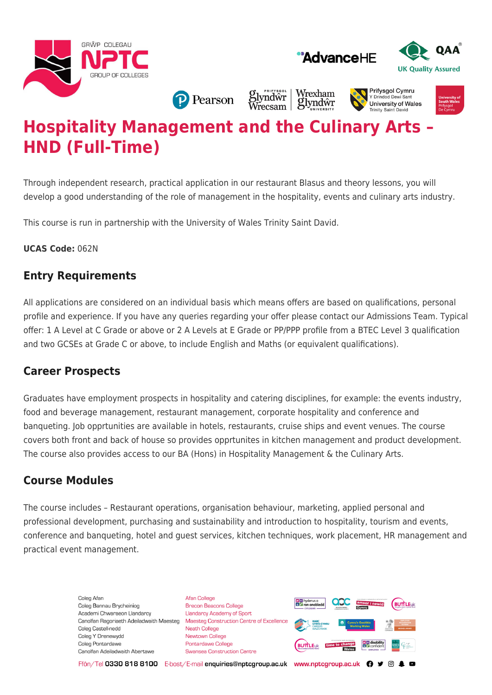





**P** Pearson

Wrexham *S*lyndŵr<br>Wrecsam glyndŵr

#### **Prifysaol Cymru** Y Drindod Dew University of Wales **Trinity Saint David**

# **Hospitality Management and the Culinary Arts – HND (Full-Time)**

Through independent research, practical application in our restaurant Blasus and theory lessons, you will develop a good understanding of the role of management in the hospitality, events and culinary arts industry.

This course is run in partnership with the University of Wales Trinity Saint David.

**UCAS Code:** 062N

### **Entry Requirements**

All applications are considered on an individual basis which means offers are based on qualifications, personal profile and experience. If you have any queries regarding your offer please contact our Admissions Team. Typical offer: 1 A Level at C Grade or above or 2 A Levels at E Grade or PP/PPP profile from a BTEC Level 3 qualification and two GCSEs at Grade C or above, to include English and Maths (or equivalent qualifications).

# **Career Prospects**

Graduates have employment prospects in hospitality and catering disciplines, for example: the events industry, food and beverage management, restaurant management, corporate hospitality and conference and banqueting. Job opprtunities are available in hotels, restaurants, cruise ships and event venues. The course covers both front and back of house so provides opprtunites in kitchen management and product development. The course also provides access to our BA (Hons) in Hospitality Management & the Culinary Arts.

# **Course Modules**

The course includes – Restaurant operations, organisation behaviour, marketing, applied personal and professional development, purchasing and sustainability and introduction to hospitality, tourism and events, conference and banqueting, hotel and guest services, kitchen techniques, work placement, HR management and practical event management.

> Coleg Afan Coleg Bannau Brycheiniog Academi Chwaraeon Llandarcy Canolfan Ragoriaeth Adeiladwaith Maesteg Coleg Castell-nedd Coleg Y Drenewydd Coleg Pontardawe Canolfan Adeiladwaith Abertawe

**Afan College** Brecon Beacons College **Llandarcy Academy of Sport** Maesteg Construction Centre of Excellence Neath College Newtown College **Pontardawe College** Swansea Construction Centre



Ffôn/Tel 0330 818 8100 E-bost/E-mail enquiries@nptcgroup.ac.uk www.nptcgroup.ac.uk ? • © \$